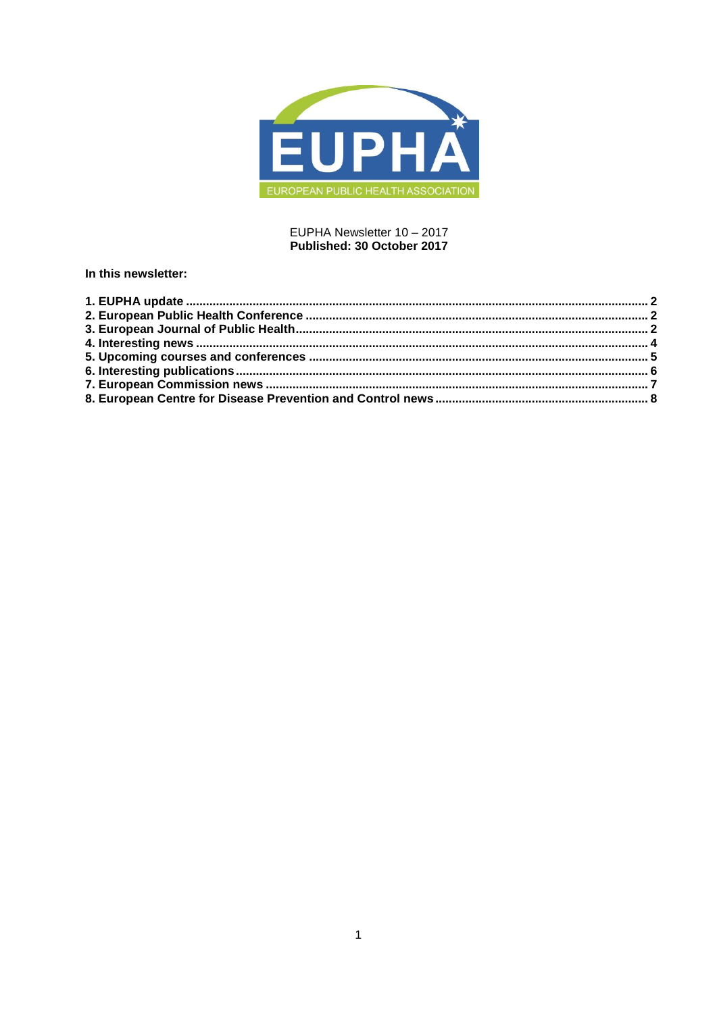

## EUPHA Newsletter 10 - 2017 Published: 30 October 2017

## In this newsletter: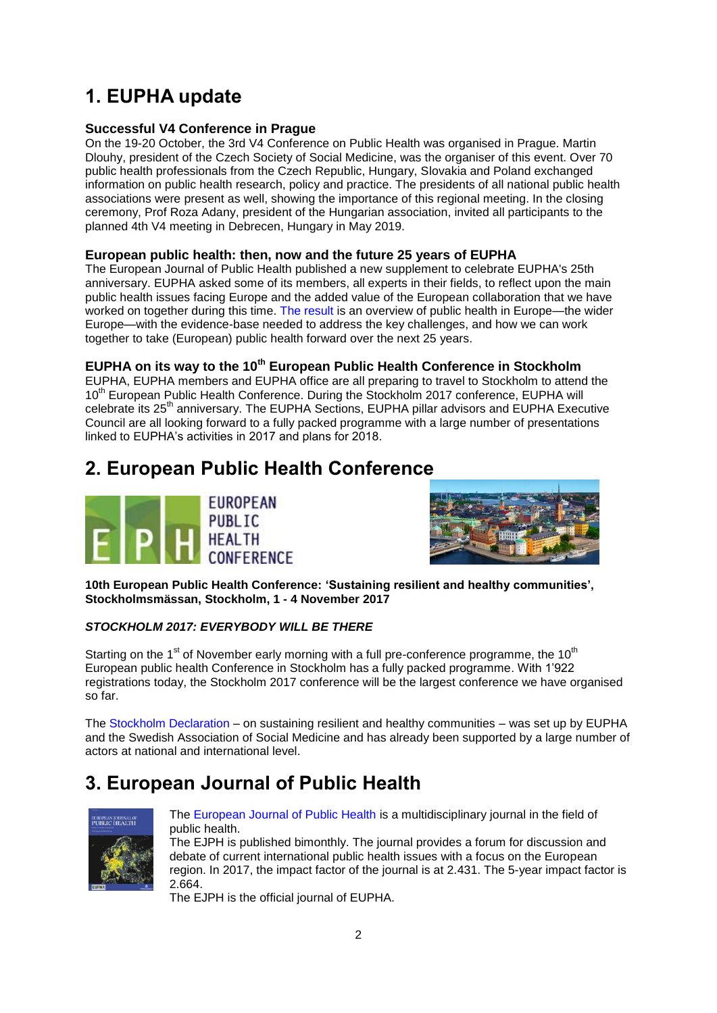# <span id="page-1-0"></span>**1. EUPHA update**

## **Successful V4 Conference in Prague**

On the 19-20 October, the 3rd V4 Conference on Public Health was organised in Prague. Martin Dlouhy, president of the Czech Society of Social Medicine, was the organiser of this event. Over 70 public health professionals from the Czech Republic, Hungary, Slovakia and Poland exchanged information on public health research, policy and practice. The presidents of all national public health associations were present as well, showing the importance of this regional meeting. In the closing ceremony, Prof Roza Adany, president of the Hungarian association, invited all participants to the planned 4th V4 meeting in Debrecen, Hungary in May 2019.

## **European public health: then, now and the future 25 years of EUPHA**

The European Journal of Public Health published a new supplement to celebrate EUPHA's 25th anniversary. EUPHA asked some of its members, all experts in their fields, to reflect upon the main public health issues facing Europe and the added value of the European collaboration that we have worked on together during this time. [The result](https://academic.oup.com/eurpub/issue/27/suppl_4) is an overview of public health in Europe—the wider Europe—with the evidence-base needed to address the key challenges, and how we can work together to take (European) public health forward over the next 25 years.

## **EUPHA on its way to the 10th European Public Health Conference in Stockholm**

EUPHA, EUPHA members and EUPHA office are all preparing to travel to Stockholm to attend the 10<sup>th</sup> European Public Health Conference. During the Stockholm 2017 conference, EUPHA will celebrate its 25<sup>th</sup> anniversary. The EUPHA Sections, EUPHA pillar advisors and EUPHA Executive Council are all looking forward to a fully packed programme with a large number of presentations linked to EUPHA's activities in 2017 and plans for 2018.

# <span id="page-1-1"></span>**2. European Public Health Conference**





**10th European Public Health Conference: 'Sustaining resilient and healthy communities', Stockholmsmässan, Stockholm, 1 - 4 November 2017**

## *STOCKHOLM 2017: EVERYBODY WILL BE THERE*

Starting on the  $1<sup>st</sup>$  of November early morning with a full pre-conference programme, the  $10<sup>th</sup>$ European public health Conference in Stockholm has a fully packed programme. With 1'922 registrations today, the Stockholm 2017 conference will be the largest conference we have organised so far.

The [Stockholm Declaration](https://eupha.org/advocacy-by-eupha) – on sustaining resilient and healthy communities – was set up by EUPHA and the Swedish Association of Social Medicine and has already been supported by a large number of actors at national and international level.

# <span id="page-1-2"></span>**3. European Journal of Public Health**



[The European Journal of Public Health](http://eurpub.oxfordjournals.org/) is a multidisciplinary journal in the field of public health.

The EJPH is published bimonthly. The journal provides a forum for discussion and debate of current international public health issues with a focus on the European region. In 2017, the impact factor of the journal is at 2.431. The 5-year impact factor is 2.664.

The EJPH is the official journal of EUPHA.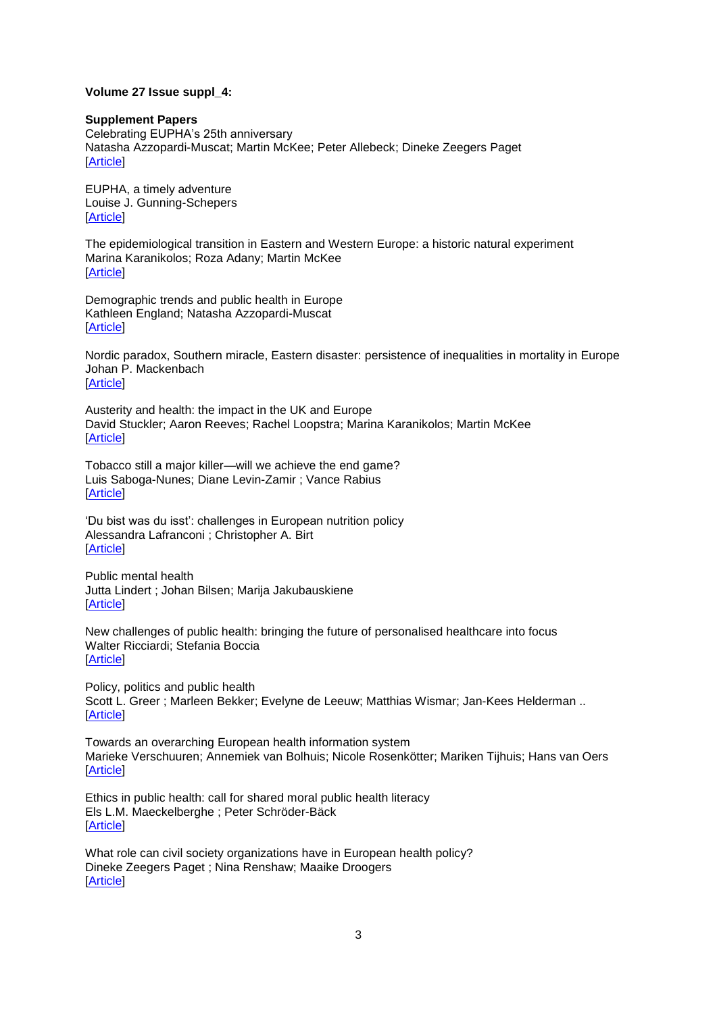#### **Volume 27 Issue suppl\_4:**

#### **Supplement Papers**

[Celebrating EUPHA's 25th anniversary](http://click.skem1.com/click/k4y17-c2yz1k-63tm46v7/) [Natasha Azzopardi-Muscat;](http://click.skem1.com/click/k4y17-c2yz1l-63tm46v8/) [Martin McKee;](http://click.skem1.com/click/k4y17-c2yz1m-63tm46v9/) [Peter Allebeck;](http://click.skem1.com/click/k4y17-c2yz1n-63tm46v0/) [Dineke Zeegers Paget](http://click.skem1.com/click/k4y17-c2yz1o-63tm46v1/) [\[Article\]](http://click.skem1.com/click/k4y17-c2yz1l-63tm46v8/)

[EUPHA, a timely adventure](http://click.skem1.com/click/k4y17-c2yz1p-63tm46v2/) [Louise J. Gunning-Schepers](http://click.skem1.com/click/k4y17-c2yz1q-63tm46v3/) [\[Article\]](http://click.skem1.com/click/k4y17-c2yz1q-63tm46v3/)

[The epidemiological transition in Eastern and Western Europe: a historic natural experiment](http://click.skem1.com/click/k4y17-c2yz1r-63tm46v4/) [Marina Karanikolos;](http://click.skem1.com/click/k4y17-c2yz1s-63tm46v5/) [Roza Adany;](http://click.skem1.com/click/k4y17-c2yz1t-63tm46v6/) [Martin McKee](http://click.skem1.com/click/k4y17-c2yz1u-63tm46v7/) [\[Article\]](https://doi.org/10.1093/eurpub/ckx158)

[Demographic trends and public health in Europe](http://click.skem1.com/click/k4y17-c2yz1v-63tm46v8/) [Kathleen England;](http://click.skem1.com/click/k4y17-c2yz1w-63tm46v9/) [Natasha Azzopardi-Muscat](http://click.skem1.com/click/k4y17-c2yz1x-63tm46v0/) [\[Article\]](http://click.skem1.com/click/k4y17-c2yz1v-63tm46v8/)

[Nordic paradox, Southern miracle, Eastern disaster: persistence of inequalities in mortality in Europe](http://click.skem1.com/click/k4y17-c2yz1y-63tm46v1/) [Johan P. Mackenbach](http://click.skem1.com/click/k4y17-c2yz1z-63tm46v2/) [\[Article\]](http://click.skem1.com/click/k4y17-c2yz1z-63tm46v2/)

Austerity and health: the impact in the UK and Europe [David Stuckler;](http://click.skem1.com/click/k4y17-c2yz21-63tm46v0/) [Aaron Reeves;](http://click.skem1.com/click/k4y17-c2yz22-63tm46v1/) [Rachel Loopstra;](http://click.skem1.com/click/k4y17-c2yz23-63tm46v2/) [Marina Karanikolos;](http://click.skem1.com/click/k4y17-c2yz24-63tm46v3/) [Martin McKee](http://click.skem1.com/click/k4y17-c2yz25-63tm46v4/) [\[Article\]](https://doi.org/10.1093/eurpub/ckx167)

[Tobacco still a major killer—will we achieve the end game?](http://click.skem1.com/click/k4y17-c2yz26-63tm46v5/) [Luis Saboga-Nunes;](http://click.skem1.com/click/k4y17-c2yz27-63tm46v6/) [Diane Levin-Zamir](http://click.skem1.com/click/k4y17-c2yz28-63tm46v7/) ; [Vance Rabius](http://click.skem1.com/click/k4y17-c2yz29-63tm46v8/) [\[Article\]](http://click.skem1.com/click/k4y17-c2yz27-63tm46v6/)

[‗Du bist was du isst': challenges in European nutrition](http://click.skem1.com/click/k4y17-c2yz2a-63tm46v8/) policy [Alessandra Lafranconi](http://click.skem1.com/click/k4y17-c2yz2b-63tm46v9/) ; [Christopher A. Birt](http://click.skem1.com/click/k4y17-c2yz2c-63tm46v0/) [\[Article\]](http://click.skem1.com/click/k4y17-c2yz2b-63tm46v9/)

[Public mental health](http://click.skem1.com/click/k4y17-c2yz2d-63tm46v1/) [Jutta Lindert](http://click.skem1.com/click/k4y17-c2yz2e-63tm46v2/) ; [Johan Bilsen;](http://click.skem1.com/click/k4y17-c2yz2f-63tm46v3/) [Marija Jakubauskiene](http://click.skem1.com/click/k4y17-c2yz2g-63tm46v4/) **[\[Article\]](http://click.skem1.com/click/k4y17-c2yz2e-63tm46v2/)** 

[New challenges of public health: bringing the future of personalised healthcare into focus](http://click.skem1.com/click/k4y17-c2yz2h-63tm46v5/) [Walter Ricciardi;](http://click.skem1.com/click/k4y17-c2yz2i-63tm46v6/) [Stefania Boccia](http://click.skem1.com/click/k4y17-c2yz2j-63tm46v7/) [\[Article\]](https://doi.org/10.1093/eurpub/ckx164)

[Policy, politics and public health](http://click.skem1.com/click/k4y17-c2yz2k-63tm46v8/) [Scott L. Greer](http://click.skem1.com/click/k4y17-c2yz2l-63tm46v9/) ; [Marleen Bekker;](http://click.skem1.com/click/k4y17-c2yz2m-63tm46v0/) [Evelyne de Leeuw;](http://click.skem1.com/click/k4y17-c2yz2n-63tm46v1/) [Matthias Wismar;](http://click.skem1.com/click/k4y17-c2yz2o-63tm46v2/) [Jan-Kees Helderman](http://click.skem1.com/click/k4y17-c2yz2p-63tm46v3/) .. [\[Article\]](http://click.skem1.com/click/k4y17-c2yz2l-63tm46v9/)

[Towards an overarching European health information system](http://click.skem1.com/click/k4y17-c2yz2q-63tm46v4/) [Marieke Verschuuren;](http://click.skem1.com/click/k4y17-c2yz2r-63tm46v5/) [Annemiek van Bolhuis;](http://click.skem1.com/click/k4y17-c2yz2s-63tm46v6/) [Nicole Rosenkötter;](http://click.skem1.com/click/k4y17-c2yz2t-63tm46v7/) [Mariken Tijhuis;](http://click.skem1.com/click/k4y17-c2yz2u-63tm46v8/) [Hans van Oers](http://click.skem1.com/click/k4y17-c2yz2v-63tm46v9/) [\[Article\]](https://doi.org/10.1093/eurpub/ckx153)

[Ethics in public health: call for shared moral public health literacy](http://click.skem1.com/click/k4y17-c2yz2w-63tm46v0/) [Els L.M. Maeckelberghe](http://click.skem1.com/click/k4y17-c2yz2x-63tm46v1/) ; [Peter Schröder-Bäck](http://click.skem1.com/click/k4y17-c2yz2y-63tm46v2/) [\[Article\]](https://doi.org/10.1093/eurpub/ckx154)

[What role can civil society organizations have in European health policy?](http://click.skem1.com/click/k4y17-c2yz2z-63tm46v3/) [Dineke Zeegers Paget](http://click.skem1.com/click/k4y17-c2yz30-63tm46v0/) ; [Nina Renshaw;](http://click.skem1.com/click/k4y17-c2yz31-63tm46v1/) [Maaike Droogers](http://click.skem1.com/click/k4y17-c2yz32-63tm46v2/) [\[Article\]](http://click.skem1.com/click/k4y17-c2yz30-63tm46v0/)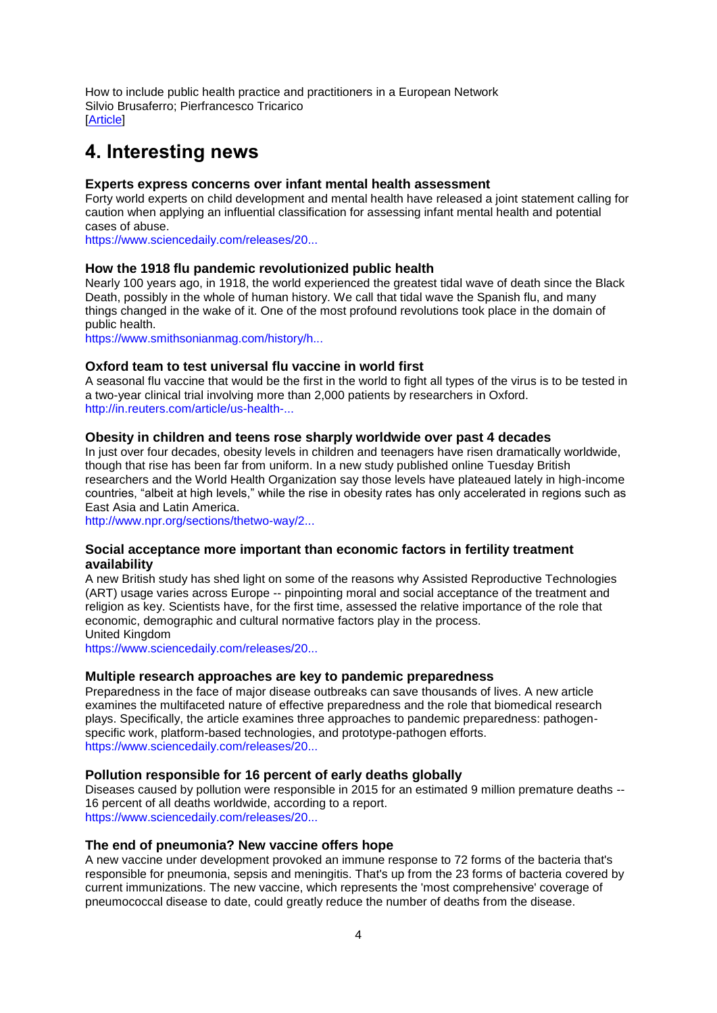[How to include public health practice and practitioners in a European Network](http://click.skem1.com/click/k4y17-c2yz33-63tm46v3/) [Silvio Brusaferro;](http://click.skem1.com/click/k4y17-c2yz34-63tm46v4/) [Pierfrancesco Tricarico](http://click.skem1.com/click/k4y17-c2yz35-63tm46v5/) **[\[Article\]](https://doi.org/10.1093/eurpub/ckx156)** 

## <span id="page-3-0"></span>**4. Interesting news**

### **Experts express concerns over infant mental health assessment**

Forty world experts on child development and mental health have released a joint statement calling for caution when applying an influential classification for assessing infant mental health and potential cases of abuse.

[https://www.sciencedaily.com/releases/20...](https://www.sciencedaily.com/releases/2017/10/171011120337.htm?utm_source=feedburner&utm_medium=email&utm_campaign=Feed%3A+sciencedaily%2Fscience_society%2Fpublic_health+%28Public+Health+News+--+Scien)

### **How the 1918 flu pandemic revolutionized public health**

Nearly 100 years ago, in 1918, the world experienced the greatest tidal wave of death since the Black Death, possibly in the whole of human history. We call that tidal wave the Spanish flu, and many things changed in the wake of it. One of the most profound revolutions took place in the domain of public health.

[https://www.smithsonianmag.com/history/h...](https://www.smithsonianmag.com/history/how-1918-flu-pandemic-revolutionized-public-health-180965025/)

### **Oxford team to test universal flu vaccine in world first**

A seasonal flu vaccine that would be the first in the world to fight all types of the virus is to be tested in a two-year clinical trial involving more than 2,000 patients by researchers in Oxford. [http://in.reuters.com/article/us-health-...](http://in.reuters.com/article/us-health-flu-vaccine/oxford-team-to-test-universal-flu-vaccine-in-world-first-idINKCN1C80NI?feedType=RSS&feedName=health&utm_source=Twitter&utm_medium=Social&utm_campaig)

### **Obesity in children and teens rose sharply worldwide over past 4 decades**

In just over four decades, obesity levels in children and teenagers have risen dramatically worldwide, though that rise has been far from uniform. In a new study published online Tuesday British researchers and the World Health Organization say those levels have plateaued lately in high-income countries, "albeit at high levels," while the rise in obesity rates has only accelerated in regions such as East Asia and Latin America.

[http://www.npr.org/sections/thetwo-way/2...](http://www.npr.org/sections/thetwo-way/2017/10/11/557093908/obesity-in-children-and-teens-rose-sharply-worldwide-over-past-4-decades)

### **Social acceptance more important than economic factors in fertility treatment availability**

A new British study has shed light on some of the reasons why Assisted Reproductive Technologies (ART) usage varies across Europe -- pinpointing moral and social acceptance of the treatment and religion as key. Scientists have, for the first time, assessed the relative importance of the role that economic, demographic and cultural normative factors play in the process. United Kingdom

[https://www.sciencedaily.com/releases/20...](https://www.sciencedaily.com/releases/2017/10/171006085927.htm?utm_source=feedburner&utm_medium=email&utm_campaign=Feed%3A+sciencedaily%2Fscience_society%2Fpublic_health+%28Public+Health+News+--+Scien)

### **Multiple research approaches are key to pandemic preparedness**

Preparedness in the face of major disease outbreaks can save thousands of lives. A new article examines the multifaceted nature of effective preparedness and the role that biomedical research plays. Specifically, the article examines three approaches to pandemic preparedness: pathogenspecific work, platform-based technologies, and prototype-pathogen efforts. [https://www.sciencedaily.com/releases/20...](https://www.sciencedaily.com/releases/2017/10/171005151143.htm?utm_source=feedburner&utm_medium=email&utm_campaign=Feed%3A+sciencedaily%2Fscience_society%2Fpublic_health+%28Public+Health+News+--+Scien)

#### **Pollution responsible for 16 percent of early deaths globally**

Diseases caused by pollution were responsible in 2015 for an estimated 9 million premature deaths -- 16 percent of all deaths worldwide, according to a report. [https://www.sciencedaily.com/releases/20...](https://www.sciencedaily.com/releases/2017/10/171020182513.htm?utm_source=feedburner&utm_medium=email&utm_campaign=Feed%3A+sciencedaily%2Fscience_society%2Fpublic_health+%28Public+Health+News+--+Scien)

**The end of pneumonia? New vaccine offers hope**

A new vaccine under development provoked an immune response to 72 forms of the bacteria that's responsible for pneumonia, sepsis and meningitis. That's up from the 23 forms of bacteria covered by current immunizations. The new vaccine, which represents the 'most comprehensive' coverage of pneumococcal disease to date, could greatly reduce the number of deaths from the disease.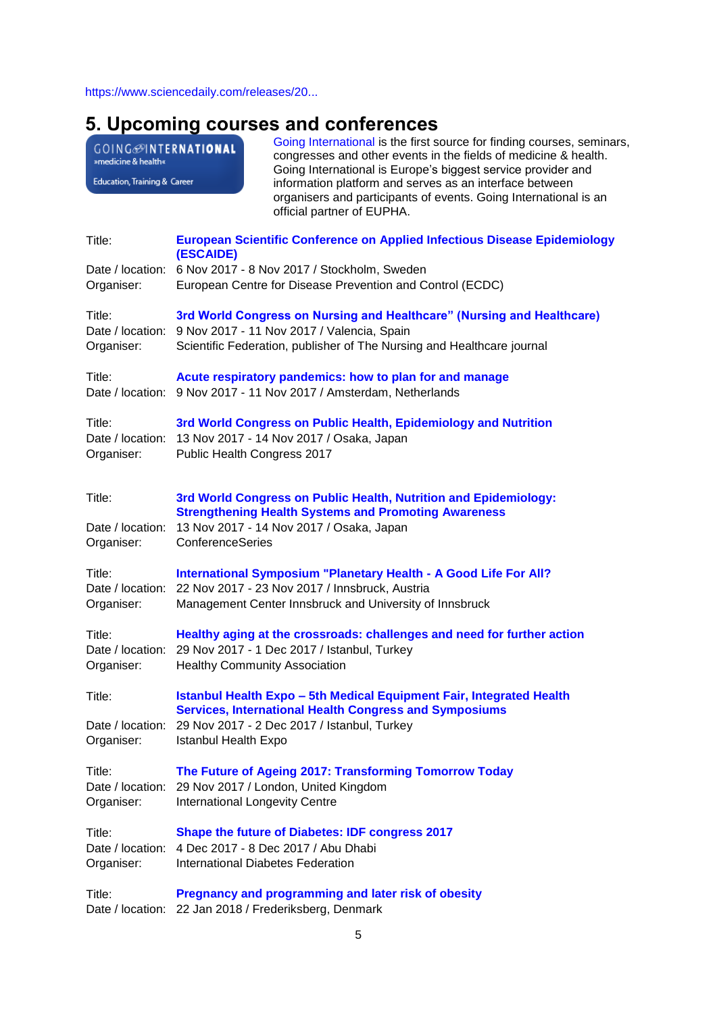[https://www.sciencedaily.com/releases/20...](https://www.sciencedaily.com/releases/2017/10/171020143811.htm?utm_source=feedburner&utm_medium=email&utm_campaign=Feed%3A+sciencedaily%2Fscience_society%2Fpublic_health+%28Public+Health+News+--+Scien)

# <span id="page-4-0"></span>**5. Upcoming courses and conferences**

GOING<sup>MINTERNATIONAL</sub></sup> Education, Training & Career

[Going International](http://www.goinginternational.eu/) is the first source for finding courses, seminars, congresses and other events in the fields of medicine & health. Going International is Europe's biggest service provider and information platform and serves as an interface between organisers and participants of events. Going International is an official partner of EUPHA.

| Title:                         | <b>European Scientific Conference on Applied Infectious Disease Epidemiology</b><br>(ESCAIDE)                                 |
|--------------------------------|-------------------------------------------------------------------------------------------------------------------------------|
|                                | Date / location: 6 Nov 2017 - 8 Nov 2017 / Stockholm, Sweden                                                                  |
| Organiser:                     | European Centre for Disease Prevention and Control (ECDC)                                                                     |
| Title:                         | 3rd World Congress on Nursing and Healthcare" (Nursing and Healthcare)                                                        |
| Date / location:               | 9 Nov 2017 - 11 Nov 2017 / Valencia, Spain                                                                                    |
| Organiser:                     | Scientific Federation, publisher of The Nursing and Healthcare journal                                                        |
| Title:                         | Acute respiratory pandemics: how to plan for and manage                                                                       |
|                                | Date / location: 9 Nov 2017 - 11 Nov 2017 / Amsterdam, Netherlands                                                            |
| Title:                         | 3rd World Congress on Public Health, Epidemiology and Nutrition                                                               |
|                                | Date / location: 13 Nov 2017 - 14 Nov 2017 / Osaka, Japan                                                                     |
| Organiser:                     | Public Health Congress 2017                                                                                                   |
|                                |                                                                                                                               |
| Title:                         | 3rd World Congress on Public Health, Nutrition and Epidemiology:                                                              |
|                                | <b>Strengthening Health Systems and Promoting Awareness</b>                                                                   |
| Date / location:<br>Organiser: | 13 Nov 2017 - 14 Nov 2017 / Osaka, Japan<br>ConferenceSeries                                                                  |
|                                |                                                                                                                               |
| Title:                         | International Symposium "Planetary Health - A Good Life For All?                                                              |
|                                | Date / location: 22 Nov 2017 - 23 Nov 2017 / Innsbruck, Austria                                                               |
| Organiser:                     | Management Center Innsbruck and University of Innsbruck                                                                       |
| Title:                         | Healthy aging at the crossroads: challenges and need for further action                                                       |
|                                | Date / location: 29 Nov 2017 - 1 Dec 2017 / Istanbul, Turkey                                                                  |
| Organiser:                     | <b>Healthy Community Association</b>                                                                                          |
| Title:                         | Istanbul Health Expo - 5th Medical Equipment Fair, Integrated Health                                                          |
|                                | <b>Services, International Health Congress and Symposiums</b><br>Date / location: 29 Nov 2017 - 2 Dec 2017 / Istanbul, Turkey |
| Organiser:                     | <b>Istanbul Health Expo</b>                                                                                                   |
|                                |                                                                                                                               |
| Title:                         | The Future of Ageing 2017: Transforming Tomorrow Today                                                                        |
| Date / location:               | 29 Nov 2017 / London, United Kingdom<br><b>International Longevity Centre</b>                                                 |
| Organiser:                     |                                                                                                                               |
| Title:                         | Shape the future of Diabetes: IDF congress 2017                                                                               |
|                                | Date / location: 4 Dec 2017 - 8 Dec 2017 / Abu Dhabi                                                                          |
| Organiser:                     | <b>International Diabetes Federation</b>                                                                                      |
| Title:                         | Pregnancy and programming and later risk of obesity                                                                           |
|                                | Date / location: 22 Jan 2018 / Frederiksberg, Denmark                                                                         |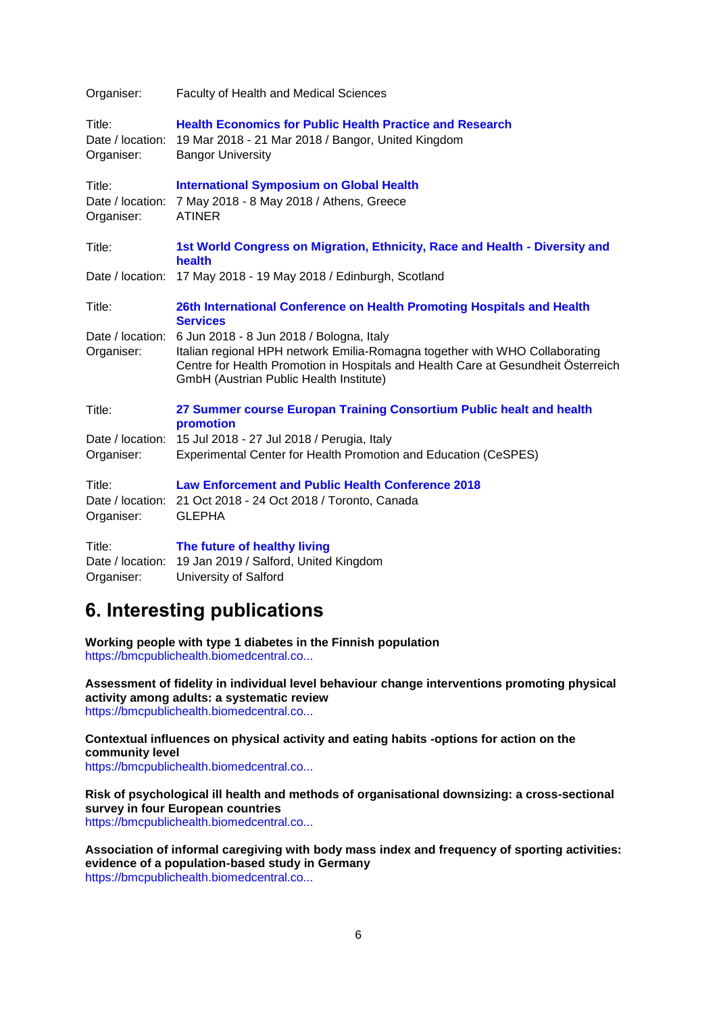| Organiser:                               | <b>Faculty of Health and Medical Sciences</b>                                                                                                                                                                                                           |
|------------------------------------------|---------------------------------------------------------------------------------------------------------------------------------------------------------------------------------------------------------------------------------------------------------|
| Title:<br>Date / location:<br>Organiser: | <b>Health Economics for Public Health Practice and Research</b><br>19 Mar 2018 - 21 Mar 2018 / Bangor, United Kingdom<br><b>Bangor University</b>                                                                                                       |
| Title:<br>Date / location:<br>Organiser: | <b>International Symposium on Global Health</b><br>7 May 2018 - 8 May 2018 / Athens, Greece<br><b>ATINER</b>                                                                                                                                            |
| Title:                                   | 1st World Congress on Migration, Ethnicity, Race and Health - Diversity and<br>health                                                                                                                                                                   |
| Date / location:                         | 17 May 2018 - 19 May 2018 / Edinburgh, Scotland                                                                                                                                                                                                         |
| Title:                                   | 26th International Conference on Health Promoting Hospitals and Health<br><b>Services</b>                                                                                                                                                               |
| Date / location:<br>Organiser:           | 6 Jun 2018 - 8 Jun 2018 / Bologna, Italy<br>Italian regional HPH network Emilia-Romagna together with WHO Collaborating<br>Centre for Health Promotion in Hospitals and Health Care at Gesundheit Österreich<br>GmbH (Austrian Public Health Institute) |
| Title:                                   | 27 Summer course Europan Training Consortium Public healt and health<br>promotion                                                                                                                                                                       |
| Organiser:                               | Date / location: 15 Jul 2018 - 27 Jul 2018 / Perugia, Italy<br>Experimental Center for Health Promotion and Education (CeSPES)                                                                                                                          |
| Title:<br>Organiser:                     | <b>Law Enforcement and Public Health Conference 2018</b><br>Date / location: 21 Oct 2018 - 24 Oct 2018 / Toronto, Canada<br><b>GLEPHA</b>                                                                                                               |
| Title:<br>Date / location:<br>Organiser: | The future of healthy living<br>19 Jan 2019 / Salford, United Kingdom<br>University of Salford                                                                                                                                                          |

## <span id="page-5-0"></span>**6. Interesting publications**

**Working people with type 1 diabetes in the Finnish population** [https://bmcpublichealth.biomedcentral.co...](https://bmcpublichealth.biomedcentral.com/articles/10.1186/s12889-017-4723-8)

**Assessment of fidelity in individual level behaviour change interventions promoting physical activity among adults: a systematic review** [https://bmcpublichealth.biomedcentral.co...](https://bmcpublichealth.biomedcentral.com/articles/10.1186/s12889-017-4778-6)

**Contextual influences on physical activity and eating habits -options for action on the community level**

[https://bmcpublichealth.biomedcentral.co...](https://bmcpublichealth.biomedcentral.com/articles/10.1186/s12889-017-4790-x)

**Risk of psychological ill health and methods of organisational downsizing: a cross-sectional survey in four European countries** [https://bmcpublichealth.biomedcentral.co...](https://bmcpublichealth.biomedcentral.com/articles/10.1186/s12889-017-4789-3)

**Association of informal caregiving with body mass index and frequency of sporting activities: evidence of a population-based study in Germany** [https://bmcpublichealth.biomedcentral.co...](https://bmcpublichealth.biomedcentral.com/articles/10.1186/s12889-017-4786-6)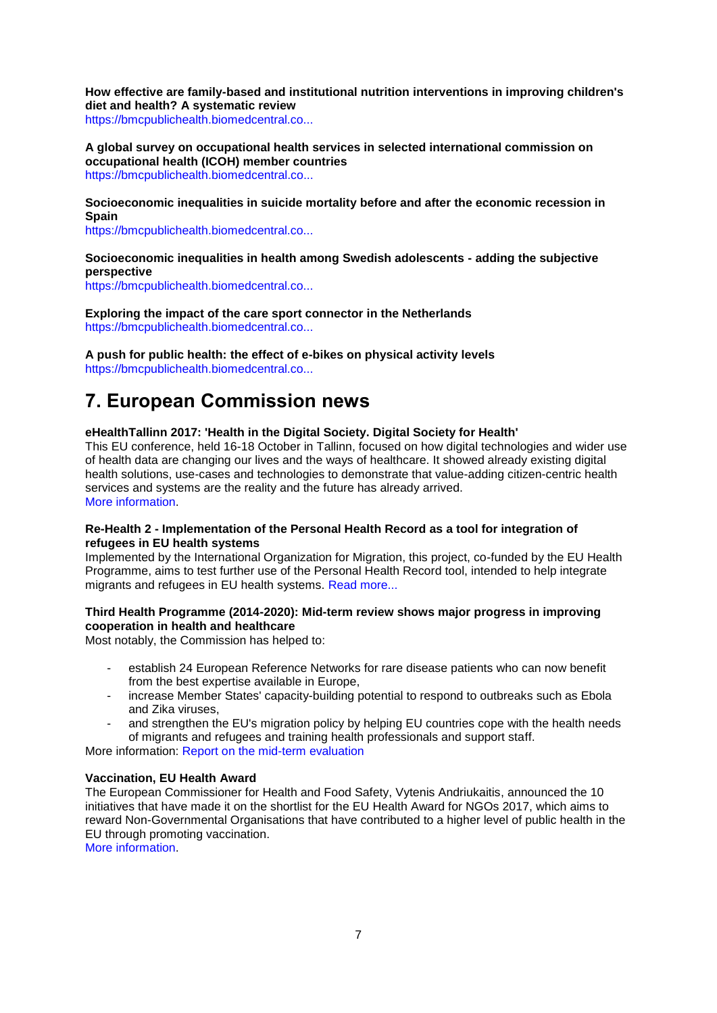**How effective are family-based and institutional nutrition interventions in improving children's diet and health? A systematic review**

[https://bmcpublichealth.biomedcentral.co...](https://bmcpublichealth.biomedcentral.com/articles/10.1186/s12889-017-4795-5)

**A global survey on occupational health services in selected international commission on occupational health (ICOH) member countries** [https://bmcpublichealth.biomedcentral.co...](https://bmcpublichealth.biomedcentral.com/articles/10.1186/s12889-017-4800-z)

**Socioeconomic inequalities in suicide mortality before and after the economic recession in Spain**

[https://bmcpublichealth.biomedcentral.co...](https://bmcpublichealth.biomedcentral.com/articles/10.1186/s12889-017-4777-7)

## **Socioeconomic inequalities in health among Swedish adolescents - adding the subjective perspective**

[https://bmcpublichealth.biomedcentral.co...](https://bmcpublichealth.biomedcentral.com/articles/10.1186/s12889-017-4863-x)

**Exploring the impact of the care sport connector in the Netherlands** [https://bmcpublichealth.biomedcentral.co...](https://bmcpublichealth.biomedcentral.com/articles/10.1186/s12889-017-4830-6)

**A push for public health: the effect of e-bikes on physical activity levels** [https://bmcpublichealth.biomedcentral.co...](https://bmcpublichealth.biomedcentral.com/articles/10.1186/s12889-017-4817-3)

# <span id="page-6-0"></span>**7. European Commission news**

## **eHealthTallinn 2017: 'Health in the Digital Society. Digital Society for Health'**

This EU conference, held 16-18 October in Tallinn, focused on how digital technologies and wider use of health data are changing our lives and the ways of healthcare. It showed already existing digital health solutions, use-cases and technologies to demonstrate that value-adding citizen-centric health services and systems are the reality and the future has already arrived. [More information.](https://ec.europa.eu/digital-single-market/en/news/ehealthtallinn-2017-health-digital-society-digital-society-health)

### **Re-Health 2 - Implementation of the Personal Health Record as a tool for integration of refugees in EU health systems**

Implemented by the International Organization for Migration, this project, co-funded by the EU Health Programme, aims to test further use of the Personal Health Record tool, intended to help integrate migrants and refugees in EU health systems. [Read more...](http://re-health.eea.iom.int/re-health2)

## **Third Health Programme (2014-2020): Mid-term review shows major progress in improving cooperation in health and healthcare**

Most notably, the Commission has helped to:

- establish 24 European Reference Networks for rare disease patients who can now benefit from the best expertise available in Europe,
- increase Member States' capacity-building potential to respond to outbreaks such as Ebola and Zika viruses,
- and strengthen the EU's migration policy by helping EU countries cope with the health needs of migrants and refugees and training health professionals and support staff.

More information: [Report on the mid-term evaluation](https://ec.europa.eu/health/programme/policy/2014-2020/midterm_evaluation_en)

## **Vaccination, EU Health Award**

The European Commissioner for Health and Food Safety, Vytenis Andriukaitis, announced the 10 initiatives that have made it on the shortlist for the EU Health Award for NGOs 2017, which aims to reward Non-Governmental Organisations that have contributed to a higher level of public health in the EU through promoting vaccination.

[More information.](http://ec.europa.eu/newsroom/sante/newsletter-specific-archive-issue.cfm?newsletter_service_id=327andnewsletter_issue_id=5439andpage=1andfullDate=Sat%2010%20Jun%202017andlang=default)